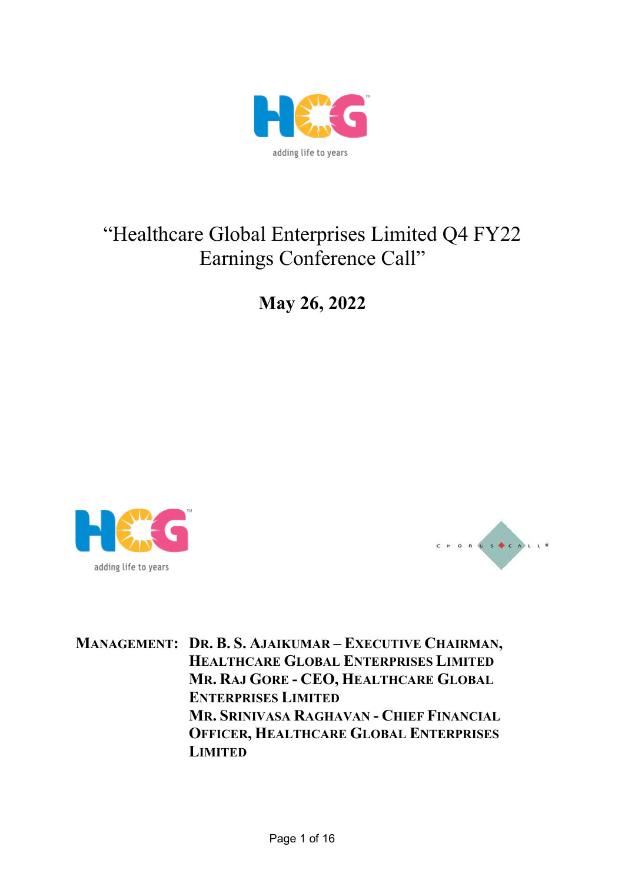

# "Healthcare Global Enterprises Limited Q4 FY22 Earnings Conference Call"

**May 26, 2022**





**MANAGEMENT: DR. B. S. AJAIKUMAR – EXECUTIVE CHAIRMAN, HEALTHCARE GLOBAL ENTERPRISES LIMITED MR. RAJ GORE - CEO, HEALTHCARE GLOBAL ENTERPRISES LIMITED MR. SRINIVASA RAGHAVAN - CHIEF FINANCIAL OFFICER, HEALTHCARE GLOBAL ENTERPRISES LIMITED**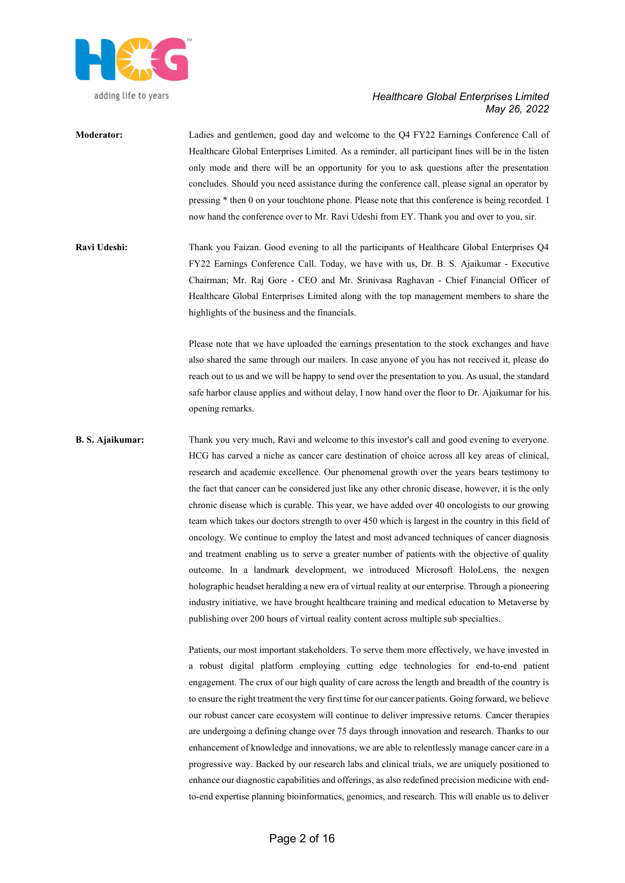

- **Moderator:** Ladies and gentlemen, good day and welcome to the Q4 FY22 Earnings Conference Call of Healthcare Global Enterprises Limited. As a reminder, all participant lines will be in the listen only mode and there will be an opportunity for you to ask questions after the presentation concludes. Should you need assistance during the conference call, please signal an operator by pressing \* then 0 on your touchtone phone. Please note that this conference is being recorded. I now hand the conference over to Mr. Ravi Udeshi from EY. Thank you and over to you, sir.
- **Ravi Udeshi:** Thank you Faizan. Good evening to all the participants of Healthcare Global Enterprises Q4 FY22 Earnings Conference Call. Today, we have with us, Dr. B. S. Ajaikumar - Executive Chairman; Mr. Raj Gore - CEO and Mr. Srinivasa Raghavan - Chief Financial Officer of Healthcare Global Enterprises Limited along with the top management members to share the highlights of the business and the financials.

Please note that we have uploaded the earnings presentation to the stock exchanges and have also shared the same through our mailers. In case anyone of you has not received it, please do reach out to us and we will be happy to send over the presentation to you. As usual, the standard safe harbor clause applies and without delay, I now hand over the floor to Dr. Ajaikumar for his opening remarks.

**B. S. Ajaikumar:** Thank you very much, Ravi and welcome to this investor's call and good evening to everyone. HCG has carved a niche as cancer care destination of choice across all key areas of clinical, research and academic excellence. Our phenomenal growth over the years bears testimony to the fact that cancer can be considered just like any other chronic disease, however, it is the only chronic disease which is curable. This year, we have added over 40 oncologists to our growing team which takes our doctors strength to over 450 which is largest in the country in this field of oncology. We continue to employ the latest and most advanced techniques of cancer diagnosis and treatment enabling us to serve a greater number of patients with the objective of quality outcome. In a landmark development, we introduced Microsoft HoloLens, the nexgen holographic headset heralding a new era of virtual reality at our enterprise. Through a pioneering industry initiative, we have brought healthcare training and medical education to Metaverse by publishing over 200 hours of virtual reality content across multiple sub specialties.

> Patients, our most important stakeholders. To serve them more effectively, we have invested in a robust digital platform employing cutting edge technologies for end-to-end patient engagement. The crux of our high quality of care across the length and breadth of the country is to ensure the right treatment the very first time for our cancer patients. Going forward, we believe our robust cancer care ecosystem will continue to deliver impressive returns. Cancer therapies are undergoing a defining change over 75 days through innovation and research. Thanks to our enhancement of knowledge and innovations, we are able to relentlessly manage cancer care in a progressive way. Backed by our research labs and clinical trials, we are uniquely positioned to enhance our diagnostic capabilities and offerings, as also redefined precision medicine with endto-end expertise planning bioinformatics, genomics, and research. This will enable us to deliver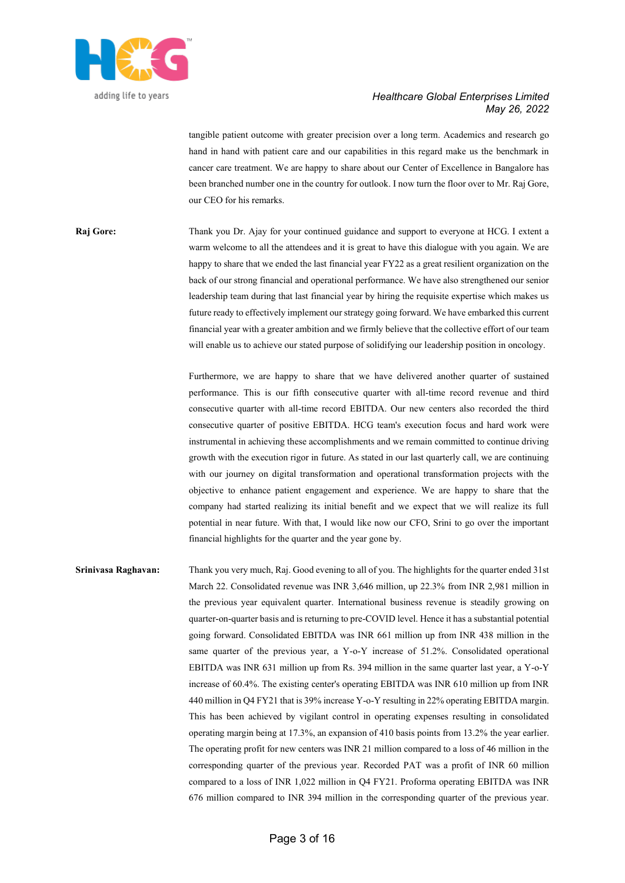

tangible patient outcome with greater precision over a long term. Academics and research go hand in hand with patient care and our capabilities in this regard make us the benchmark in cancer care treatment. We are happy to share about our Center of Excellence in Bangalore has been branched number one in the country for outlook. I now turn the floor over to Mr. Raj Gore, our CEO for his remarks.

**Raj Gore:** Thank you Dr. Ajay for your continued guidance and support to everyone at HCG. I extent a warm welcome to all the attendees and it is great to have this dialogue with you again. We are happy to share that we ended the last financial year FY22 as a great resilient organization on the back of our strong financial and operational performance. We have also strengthened our senior leadership team during that last financial year by hiring the requisite expertise which makes us future ready to effectively implement our strategy going forward. We have embarked this current financial year with a greater ambition and we firmly believe that the collective effort of our team will enable us to achieve our stated purpose of solidifying our leadership position in oncology.

> Furthermore, we are happy to share that we have delivered another quarter of sustained performance. This is our fifth consecutive quarter with all-time record revenue and third consecutive quarter with all-time record EBITDA. Our new centers also recorded the third consecutive quarter of positive EBITDA. HCG team's execution focus and hard work were instrumental in achieving these accomplishments and we remain committed to continue driving growth with the execution rigor in future. As stated in our last quarterly call, we are continuing with our journey on digital transformation and operational transformation projects with the objective to enhance patient engagement and experience. We are happy to share that the company had started realizing its initial benefit and we expect that we will realize its full potential in near future. With that, I would like now our CFO, Srini to go over the important financial highlights for the quarter and the year gone by.

**Srinivasa Raghavan:** Thank you very much, Raj. Good evening to all of you. The highlights for the quarter ended 31st March 22. Consolidated revenue was INR 3,646 million, up 22.3% from INR 2,981 million in the previous year equivalent quarter. International business revenue is steadily growing on quarter-on-quarter basis and is returning to pre-COVID level. Hence it has a substantial potential going forward. Consolidated EBITDA was INR 661 million up from INR 438 million in the same quarter of the previous year, a Y-o-Y increase of 51.2%. Consolidated operational EBITDA was INR 631 million up from Rs. 394 million in the same quarter last year, a Y-o-Y increase of 60.4%. The existing center's operating EBITDA was INR 610 million up from INR 440 million in Q4 FY21 that is 39% increase Y-o-Y resulting in 22% operating EBITDA margin. This has been achieved by vigilant control in operating expenses resulting in consolidated operating margin being at 17.3%, an expansion of 410 basis points from 13.2% the year earlier. The operating profit for new centers was INR 21 million compared to a loss of 46 million in the corresponding quarter of the previous year. Recorded PAT was a profit of INR 60 million compared to a loss of INR 1,022 million in Q4 FY21. Proforma operating EBITDA was INR 676 million compared to INR 394 million in the corresponding quarter of the previous year.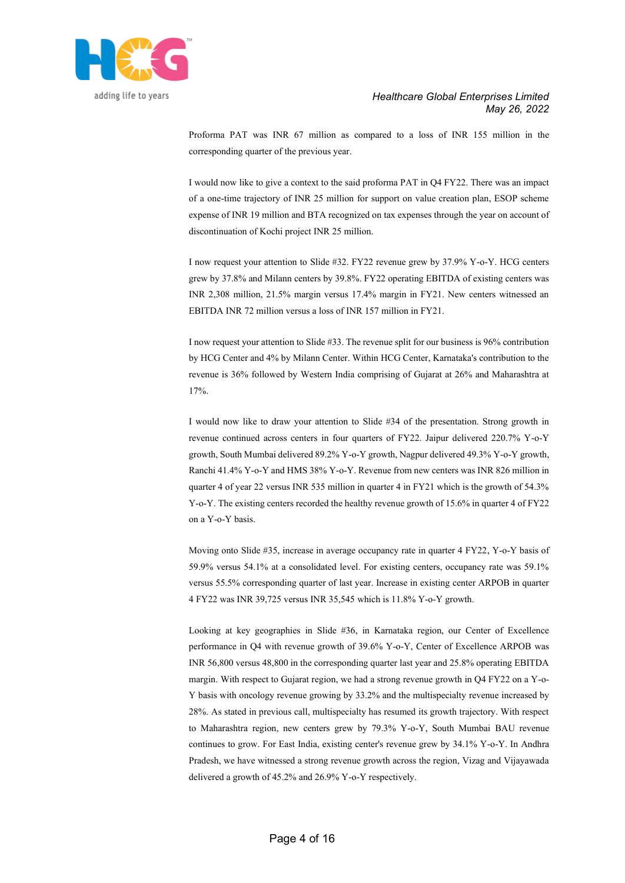

Proforma PAT was INR 67 million as compared to a loss of INR 155 million in the corresponding quarter of the previous year.

I would now like to give a context to the said proforma PAT in Q4 FY22. There was an impact of a one-time trajectory of INR 25 million for support on value creation plan, ESOP scheme expense of INR 19 million and BTA recognized on tax expenses through the year on account of discontinuation of Kochi project INR 25 million.

I now request your attention to Slide #32. FY22 revenue grew by 37.9% Y-o-Y. HCG centers grew by 37.8% and Milann centers by 39.8%. FY22 operating EBITDA of existing centers was INR 2,308 million, 21.5% margin versus 17.4% margin in FY21. New centers witnessed an EBITDA INR 72 million versus a loss of INR 157 million in FY21.

I now request your attention to Slide #33. The revenue split for our business is 96% contribution by HCG Center and 4% by Milann Center. Within HCG Center, Karnataka's contribution to the revenue is 36% followed by Western India comprising of Gujarat at 26% and Maharashtra at 17%.

I would now like to draw your attention to Slide #34 of the presentation. Strong growth in revenue continued across centers in four quarters of FY22. Jaipur delivered 220.7% Y-o-Y growth, South Mumbai delivered 89.2% Y-o-Y growth, Nagpur delivered 49.3% Y-o-Y growth, Ranchi 41.4% Y-o-Y and HMS 38% Y-o-Y. Revenue from new centers was INR 826 million in quarter 4 of year 22 versus INR 535 million in quarter 4 in FY21 which is the growth of 54.3% Y-o-Y. The existing centers recorded the healthy revenue growth of 15.6% in quarter 4 of FY22 on a Y-o-Y basis.

Moving onto Slide #35, increase in average occupancy rate in quarter 4 FY22, Y-o-Y basis of 59.9% versus 54.1% at a consolidated level. For existing centers, occupancy rate was 59.1% versus 55.5% corresponding quarter of last year. Increase in existing center ARPOB in quarter 4 FY22 was INR 39,725 versus INR 35,545 which is 11.8% Y-o-Y growth.

Looking at key geographies in Slide #36, in Karnataka region, our Center of Excellence performance in Q4 with revenue growth of 39.6% Y-o-Y, Center of Excellence ARPOB was INR 56,800 versus 48,800 in the corresponding quarter last year and 25.8% operating EBITDA margin. With respect to Gujarat region, we had a strong revenue growth in Q4 FY22 on a Y-o-Y basis with oncology revenue growing by 33.2% and the multispecialty revenue increased by 28%. As stated in previous call, multispecialty has resumed its growth trajectory. With respect to Maharashtra region, new centers grew by 79.3% Y-o-Y, South Mumbai BAU revenue continues to grow. For East India, existing center's revenue grew by 34.1% Y-o-Y. In Andhra Pradesh, we have witnessed a strong revenue growth across the region, Vizag and Vijayawada delivered a growth of 45.2% and 26.9% Y-o-Y respectively.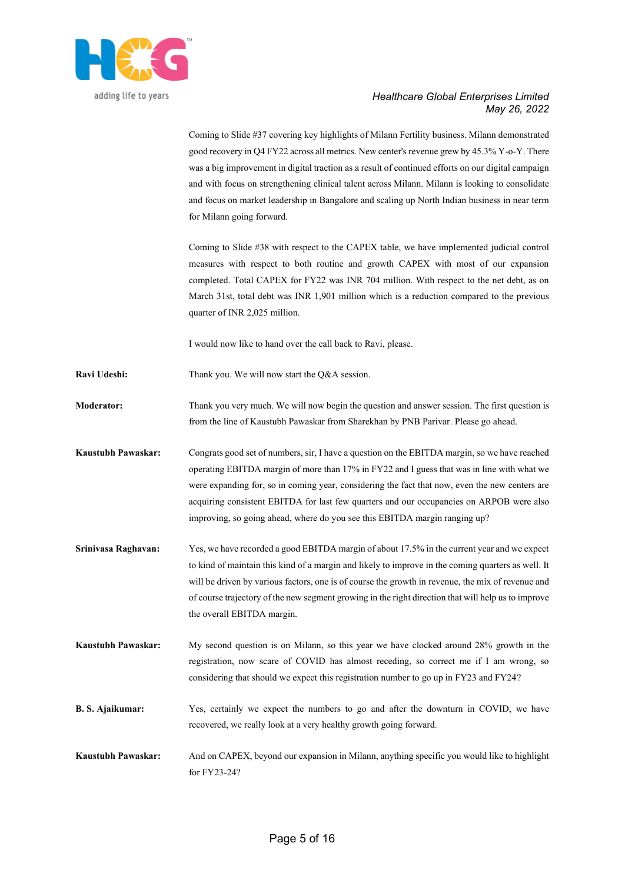

|                         | Coming to Slide #37 covering key highlights of Milann Fertility business. Milann demonstrated<br>good recovery in Q4 FY22 across all metrics. New center's revenue grew by 45.3% Y-o-Y. There<br>was a big improvement in digital traction as a result of continued efforts on our digital campaign<br>and with focus on strengthening clinical talent across Milann. Milann is looking to consolidate<br>and focus on market leadership in Bangalore and scaling up North Indian business in near term<br>for Milann going forward. |
|-------------------------|--------------------------------------------------------------------------------------------------------------------------------------------------------------------------------------------------------------------------------------------------------------------------------------------------------------------------------------------------------------------------------------------------------------------------------------------------------------------------------------------------------------------------------------|
|                         | Coming to Slide #38 with respect to the CAPEX table, we have implemented judicial control<br>measures with respect to both routine and growth CAPEX with most of our expansion<br>completed. Total CAPEX for FY22 was INR 704 million. With respect to the net debt, as on<br>March 31st, total debt was INR 1,901 million which is a reduction compared to the previous<br>quarter of INR 2,025 million.                                                                                                                            |
|                         | I would now like to hand over the call back to Ravi, please.                                                                                                                                                                                                                                                                                                                                                                                                                                                                         |
| Ravi Udeshi:            | Thank you. We will now start the Q&A session.                                                                                                                                                                                                                                                                                                                                                                                                                                                                                        |
| <b>Moderator:</b>       | Thank you very much. We will now begin the question and answer session. The first question is<br>from the line of Kaustubh Pawaskar from Sharekhan by PNB Parivar. Please go ahead.                                                                                                                                                                                                                                                                                                                                                  |
| Kaustubh Pawaskar:      | Congrats good set of numbers, sir, I have a question on the EBITDA margin, so we have reached<br>operating EBITDA margin of more than 17% in FY22 and I guess that was in line with what we<br>were expanding for, so in coming year, considering the fact that now, even the new centers are<br>acquiring consistent EBITDA for last few quarters and our occupancies on ARPOB were also<br>improving, so going ahead, where do you see this EBITDA margin ranging up?                                                              |
| Srinivasa Raghavan:     | Yes, we have recorded a good EBITDA margin of about 17.5% in the current year and we expect<br>to kind of maintain this kind of a margin and likely to improve in the coming quarters as well. It<br>will be driven by various factors, one is of course the growth in revenue, the mix of revenue and<br>of course trajectory of the new segment growing in the right direction that will help us to improve<br>the overall EBITDA margin.                                                                                          |
| Kaustubh Pawaskar:      | My second question is on Milann, so this year we have clocked around 28% growth in the<br>registration, now scare of COVID has almost receding, so correct me if I am wrong, so<br>considering that should we expect this registration number to go up in FY23 and FY24?                                                                                                                                                                                                                                                             |
| <b>B. S. Ajaikumar:</b> | Yes, certainly we expect the numbers to go and after the downturn in COVID, we have<br>recovered, we really look at a very healthy growth going forward.                                                                                                                                                                                                                                                                                                                                                                             |
| Kaustubh Pawaskar:      | And on CAPEX, beyond our expansion in Milann, anything specific you would like to highlight<br>for FY23-24?                                                                                                                                                                                                                                                                                                                                                                                                                          |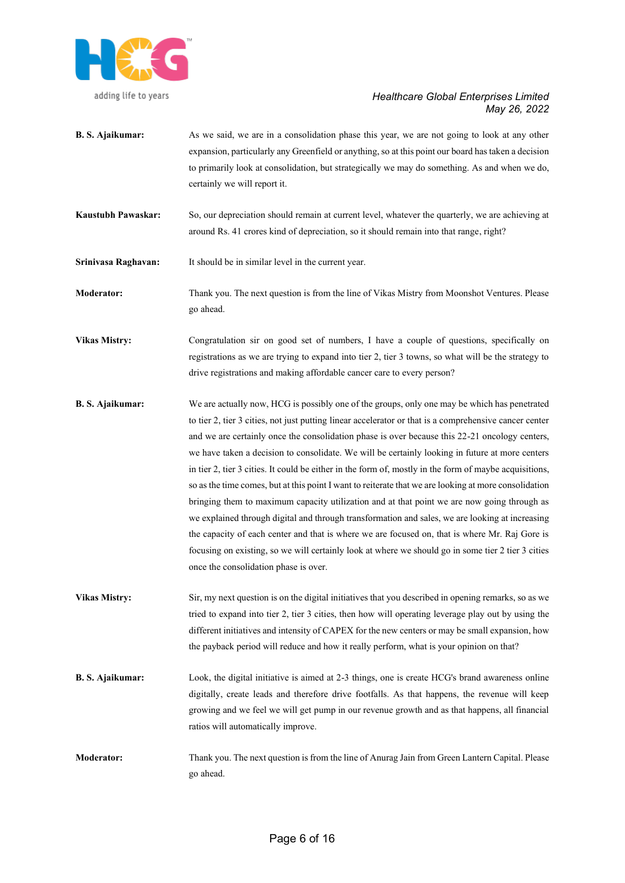

- **B. S. Ajaikumar:** As we said, we are in a consolidation phase this year, we are not going to look at any other expansion, particularly any Greenfield or anything, so at this point our board has taken a decision to primarily look at consolidation, but strategically we may do something. As and when we do, certainly we will report it.
- **Kaustubh Pawaskar:** So, our depreciation should remain at current level, whatever the quarterly, we are achieving at around Rs. 41 crores kind of depreciation, so it should remain into that range, right?

**Srinivasa Raghavan:** It should be in similar level in the current year.

**Moderator:** Thank you. The next question is from the line of Vikas Mistry from Moonshot Ventures. Please go ahead.

**Vikas Mistry:** Congratulation sir on good set of numbers, I have a couple of questions, specifically on registrations as we are trying to expand into tier 2, tier 3 towns, so what will be the strategy to drive registrations and making affordable cancer care to every person?

- **B. S. Ajaikumar:** We are actually now, HCG is possibly one of the groups, only one may be which has penetrated to tier 2, tier 3 cities, not just putting linear accelerator or that is a comprehensive cancer center and we are certainly once the consolidation phase is over because this 22-21 oncology centers, we have taken a decision to consolidate. We will be certainly looking in future at more centers in tier 2, tier 3 cities. It could be either in the form of, mostly in the form of maybe acquisitions, so as the time comes, but at this point I want to reiterate that we are looking at more consolidation bringing them to maximum capacity utilization and at that point we are now going through as we explained through digital and through transformation and sales, we are looking at increasing the capacity of each center and that is where we are focused on, that is where Mr. Raj Gore is focusing on existing, so we will certainly look at where we should go in some tier 2 tier 3 cities once the consolidation phase is over.
- **Vikas Mistry:** Sir, my next question is on the digital initiatives that you described in opening remarks, so as we tried to expand into tier 2, tier 3 cities, then how will operating leverage play out by using the different initiatives and intensity of CAPEX for the new centers or may be small expansion, how the payback period will reduce and how it really perform, what is your opinion on that?
- **B. S. Ajaikumar:** Look, the digital initiative is aimed at 2-3 things, one is create HCG's brand awareness online digitally, create leads and therefore drive footfalls. As that happens, the revenue will keep growing and we feel we will get pump in our revenue growth and as that happens, all financial ratios will automatically improve.
- **Moderator:** Thank you. The next question is from the line of Anurag Jain from Green Lantern Capital. Please go ahead.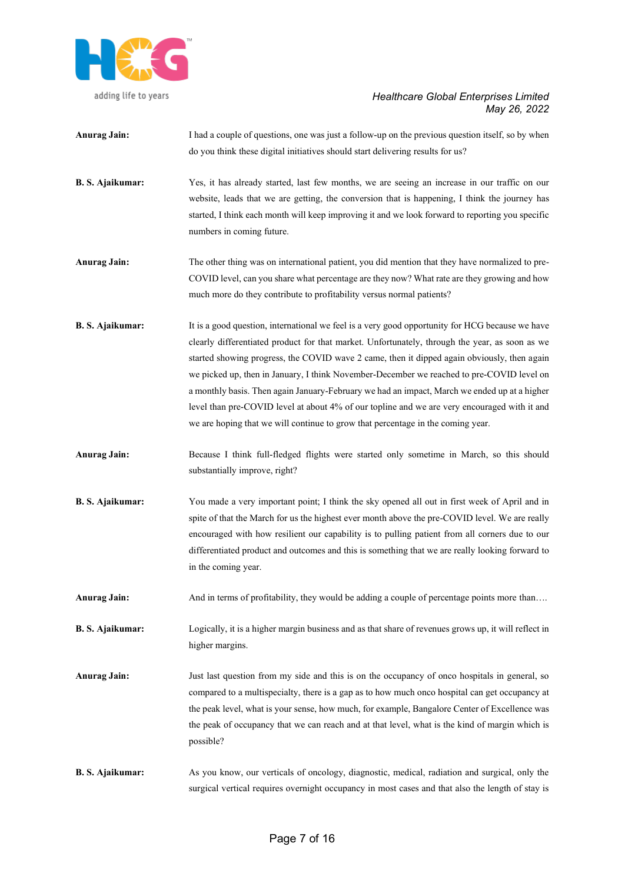

adding life to years

# *Healthcare Global Enterprises Limited May 26, 2022*

| <b>Anurag Jain:</b>     | I had a couple of questions, one was just a follow-up on the previous question itself, so by when<br>do you think these digital initiatives should start delivering results for us?                                                                                                                                                                                                                                                                                                                                                                                                                                                                                              |
|-------------------------|----------------------------------------------------------------------------------------------------------------------------------------------------------------------------------------------------------------------------------------------------------------------------------------------------------------------------------------------------------------------------------------------------------------------------------------------------------------------------------------------------------------------------------------------------------------------------------------------------------------------------------------------------------------------------------|
| B. S. Ajaikumar:        | Yes, it has already started, last few months, we are seeing an increase in our traffic on our<br>website, leads that we are getting, the conversion that is happening, I think the journey has<br>started, I think each month will keep improving it and we look forward to reporting you specific<br>numbers in coming future.                                                                                                                                                                                                                                                                                                                                                  |
| <b>Anurag Jain:</b>     | The other thing was on international patient, you did mention that they have normalized to pre-<br>COVID level, can you share what percentage are they now? What rate are they growing and how<br>much more do they contribute to profitability versus normal patients?                                                                                                                                                                                                                                                                                                                                                                                                          |
| <b>B. S. Ajaikumar:</b> | It is a good question, international we feel is a very good opportunity for HCG because we have<br>clearly differentiated product for that market. Unfortunately, through the year, as soon as we<br>started showing progress, the COVID wave 2 came, then it dipped again obviously, then again<br>we picked up, then in January, I think November-December we reached to pre-COVID level on<br>a monthly basis. Then again January-February we had an impact, March we ended up at a higher<br>level than pre-COVID level at about 4% of our topline and we are very encouraged with it and<br>we are hoping that we will continue to grow that percentage in the coming year. |
| <b>Anurag Jain:</b>     | Because I think full-fledged flights were started only sometime in March, so this should<br>substantially improve, right?                                                                                                                                                                                                                                                                                                                                                                                                                                                                                                                                                        |
| B. S. Ajaikumar:        | You made a very important point; I think the sky opened all out in first week of April and in<br>spite of that the March for us the highest ever month above the pre-COVID level. We are really<br>encouraged with how resilient our capability is to pulling patient from all corners due to our<br>differentiated product and outcomes and this is something that we are really looking forward to<br>in the coming year.                                                                                                                                                                                                                                                      |
| <b>Anurag Jain:</b>     | And in terms of profitability, they would be adding a couple of percentage points more than                                                                                                                                                                                                                                                                                                                                                                                                                                                                                                                                                                                      |
| B. S. Ajaikumar:        | Logically, it is a higher margin business and as that share of revenues grows up, it will reflect in<br>higher margins.                                                                                                                                                                                                                                                                                                                                                                                                                                                                                                                                                          |
| <b>Anurag Jain:</b>     | Just last question from my side and this is on the occupancy of onco hospitals in general, so<br>compared to a multispecialty, there is a gap as to how much onco hospital can get occupancy at<br>the peak level, what is your sense, how much, for example, Bangalore Center of Excellence was<br>the peak of occupancy that we can reach and at that level, what is the kind of margin which is<br>possible?                                                                                                                                                                                                                                                                  |
|                         |                                                                                                                                                                                                                                                                                                                                                                                                                                                                                                                                                                                                                                                                                  |

**B. S. Ajaikumar:** As you know, our verticals of oncology, diagnostic, medical, radiation and surgical, only the surgical vertical requires overnight occupancy in most cases and that also the length of stay is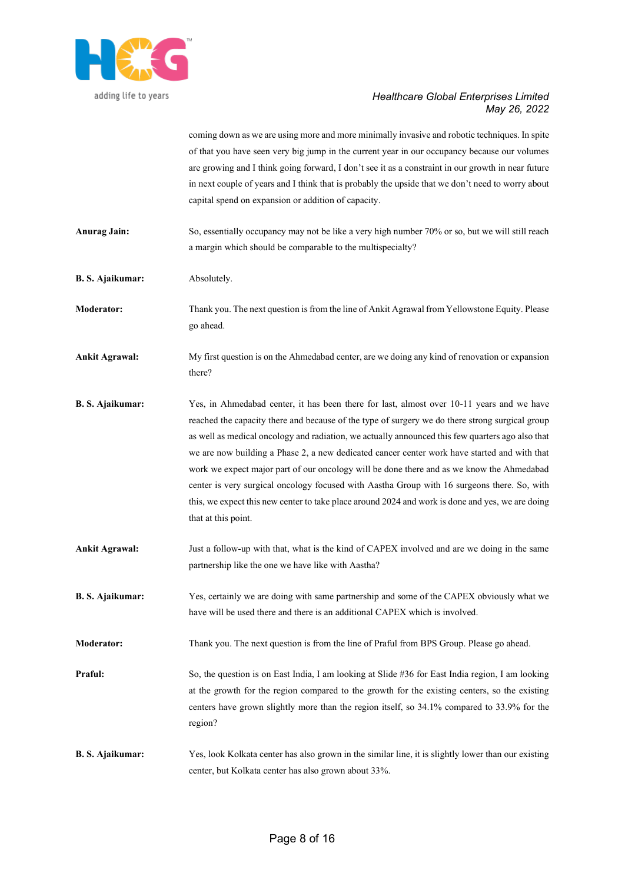

coming down as we are using more and more minimally invasive and robotic techniques. In spite of that you have seen very big jump in the current year in our occupancy because our volumes are growing and I think going forward, I don't see it as a constraint in our growth in near future in next couple of years and I think that is probably the upside that we don't need to worry about capital spend on expansion or addition of capacity.

- **Anurag Jain:** So, essentially occupancy may not be like a very high number 70% or so, but we will still reach a margin which should be comparable to the multispecialty?
- **B. S. Ajaikumar:** Absolutely.

**Moderator:** Thank you. The next question is from the line of Ankit Agrawal from Yellowstone Equity. Please go ahead.

**Ankit Agrawal:** My first question is on the Ahmedabad center, are we doing any kind of renovation or expansion there?

- **B. S. Ajaikumar:** Yes, in Ahmedabad center, it has been there for last, almost over 10-11 years and we have reached the capacity there and because of the type of surgery we do there strong surgical group as well as medical oncology and radiation, we actually announced this few quarters ago also that we are now building a Phase 2, a new dedicated cancer center work have started and with that work we expect major part of our oncology will be done there and as we know the Ahmedabad center is very surgical oncology focused with Aastha Group with 16 surgeons there. So, with this, we expect this new center to take place around 2024 and work is done and yes, we are doing that at this point.
- **Ankit Agrawal:** Just a follow-up with that, what is the kind of CAPEX involved and are we doing in the same partnership like the one we have like with Aastha?
- **B. S. Ajaikumar:** Yes, certainly we are doing with same partnership and some of the CAPEX obviously what we have will be used there and there is an additional CAPEX which is involved.
- **Moderator:** Thank you. The next question is from the line of Praful from BPS Group. Please go ahead.
- **Praful:** So, the question is on East India, I am looking at Slide #36 for East India region, I am looking at the growth for the region compared to the growth for the existing centers, so the existing centers have grown slightly more than the region itself, so 34.1% compared to 33.9% for the region?
- **B. S. Ajaikumar:** Yes, look Kolkata center has also grown in the similar line, it is slightly lower than our existing center, but Kolkata center has also grown about 33%.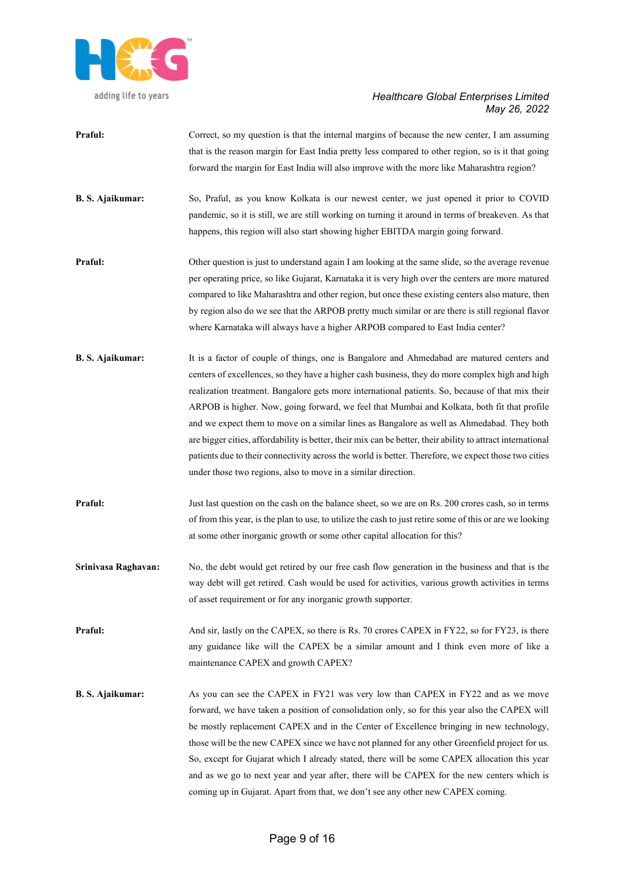

- **Praful:** Correct, so my question is that the internal margins of because the new center, I am assuming that is the reason margin for East India pretty less compared to other region, so is it that going forward the margin for East India will also improve with the more like Maharashtra region?
- **B. S. Ajaikumar:** So, Praful, as you know Kolkata is our newest center, we just opened it prior to COVID pandemic, so it is still, we are still working on turning it around in terms of breakeven. As that happens, this region will also start showing higher EBITDA margin going forward.
- **Praful:** Other question is just to understand again I am looking at the same slide, so the average revenue per operating price, so like Gujarat, Karnataka it is very high over the centers are more matured compared to like Maharashtra and other region, but once these existing centers also mature, then by region also do we see that the ARPOB pretty much similar or are there is still regional flavor where Karnataka will always have a higher ARPOB compared to East India center?
- **B. S. Ajaikumar:** It is a factor of couple of things, one is Bangalore and Ahmedabad are matured centers and centers of excellences, so they have a higher cash business, they do more complex high and high realization treatment. Bangalore gets more international patients. So, because of that mix their ARPOB is higher. Now, going forward, we feel that Mumbai and Kolkata, both fit that profile and we expect them to move on a similar lines as Bangalore as well as Ahmedabad. They both are bigger cities, affordability is better, their mix can be better, their ability to attract international patients due to their connectivity across the world is better. Therefore, we expect those two cities under those two regions, also to move in a similar direction.
- **Praful:** Just last question on the cash on the balance sheet, so we are on Rs. 200 crores cash, so in terms of from this year, is the plan to use, to utilize the cash to just retire some of this or are we looking at some other inorganic growth or some other capital allocation for this?
- **Srinivasa Raghavan:** No, the debt would get retired by our free cash flow generation in the business and that is the way debt will get retired. Cash would be used for activities, various growth activities in terms of asset requirement or for any inorganic growth supporter.
- **Praful:** And sir, lastly on the CAPEX, so there is Rs. 70 crores CAPEX in FY22, so for FY23, is there any guidance like will the CAPEX be a similar amount and I think even more of like a maintenance CAPEX and growth CAPEX?
- **B. S. Ajaikumar:** As you can see the CAPEX in FY21 was very low than CAPEX in FY22 and as we move forward, we have taken a position of consolidation only, so for this year also the CAPEX will be mostly replacement CAPEX and in the Center of Excellence bringing in new technology, those will be the new CAPEX since we have not planned for any other Greenfield project for us. So, except for Gujarat which I already stated, there will be some CAPEX allocation this year and as we go to next year and year after, there will be CAPEX for the new centers which is coming up in Gujarat. Apart from that, we don't see any other new CAPEX coming.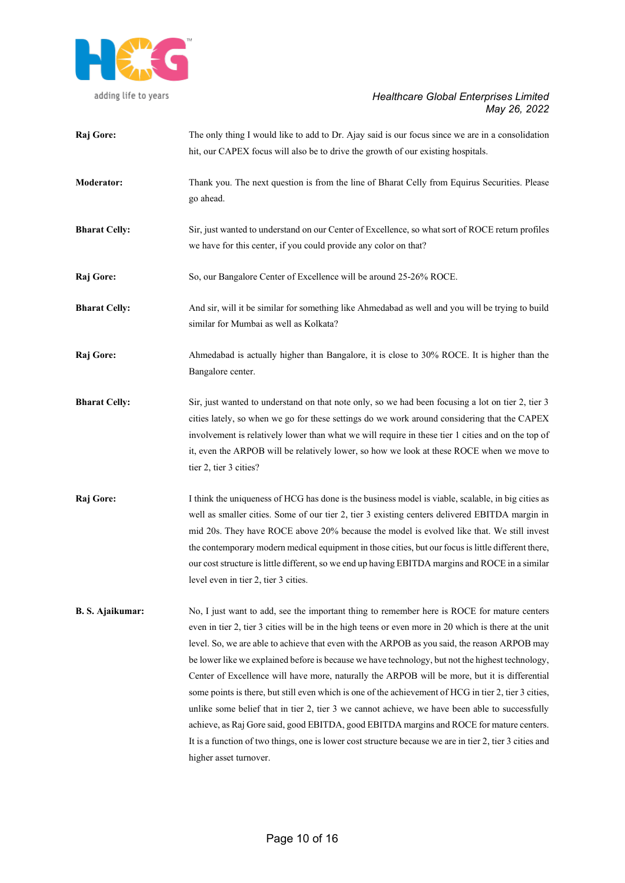

| Raj Gore:               | The only thing I would like to add to Dr. Ajay said is our focus since we are in a consolidation<br>hit, our CAPEX focus will also be to drive the growth of our existing hospitals.                                                                                                                                                                                                                                                                                                                                                                                                                                                                                                                                                                                                                                                                                                                                                                  |
|-------------------------|-------------------------------------------------------------------------------------------------------------------------------------------------------------------------------------------------------------------------------------------------------------------------------------------------------------------------------------------------------------------------------------------------------------------------------------------------------------------------------------------------------------------------------------------------------------------------------------------------------------------------------------------------------------------------------------------------------------------------------------------------------------------------------------------------------------------------------------------------------------------------------------------------------------------------------------------------------|
| <b>Moderator:</b>       | Thank you. The next question is from the line of Bharat Celly from Equirus Securities. Please<br>go ahead.                                                                                                                                                                                                                                                                                                                                                                                                                                                                                                                                                                                                                                                                                                                                                                                                                                            |
| <b>Bharat Celly:</b>    | Sir, just wanted to understand on our Center of Excellence, so what sort of ROCE return profiles<br>we have for this center, if you could provide any color on that?                                                                                                                                                                                                                                                                                                                                                                                                                                                                                                                                                                                                                                                                                                                                                                                  |
| Raj Gore:               | So, our Bangalore Center of Excellence will be around 25-26% ROCE.                                                                                                                                                                                                                                                                                                                                                                                                                                                                                                                                                                                                                                                                                                                                                                                                                                                                                    |
| <b>Bharat Celly:</b>    | And sir, will it be similar for something like Ahmedabad as well and you will be trying to build<br>similar for Mumbai as well as Kolkata?                                                                                                                                                                                                                                                                                                                                                                                                                                                                                                                                                                                                                                                                                                                                                                                                            |
| Raj Gore:               | Ahmedabad is actually higher than Bangalore, it is close to 30% ROCE. It is higher than the<br>Bangalore center.                                                                                                                                                                                                                                                                                                                                                                                                                                                                                                                                                                                                                                                                                                                                                                                                                                      |
| <b>Bharat Celly:</b>    | Sir, just wanted to understand on that note only, so we had been focusing a lot on tier 2, tier 3<br>cities lately, so when we go for these settings do we work around considering that the CAPEX<br>involvement is relatively lower than what we will require in these tier 1 cities and on the top of<br>it, even the ARPOB will be relatively lower, so how we look at these ROCE when we move to<br>tier 2, tier 3 cities?                                                                                                                                                                                                                                                                                                                                                                                                                                                                                                                        |
| Raj Gore:               | I think the uniqueness of HCG has done is the business model is viable, scalable, in big cities as<br>well as smaller cities. Some of our tier 2, tier 3 existing centers delivered EBITDA margin in<br>mid 20s. They have ROCE above 20% because the model is evolved like that. We still invest<br>the contemporary modern medical equipment in those cities, but our focus is little different there,<br>our cost structure is little different, so we end up having EBITDA margins and ROCE in a similar<br>level even in tier 2, tier 3 cities.                                                                                                                                                                                                                                                                                                                                                                                                  |
| <b>B. S. Ajaikumar:</b> | No, I just want to add, see the important thing to remember here is ROCE for mature centers<br>even in tier 2, tier 3 cities will be in the high teens or even more in 20 which is there at the unit<br>level. So, we are able to achieve that even with the ARPOB as you said, the reason ARPOB may<br>be lower like we explained before is because we have technology, but not the highest technology,<br>Center of Excellence will have more, naturally the ARPOB will be more, but it is differential<br>some points is there, but still even which is one of the achievement of HCG in tier 2, tier 3 cities,<br>unlike some belief that in tier 2, tier 3 we cannot achieve, we have been able to successfully<br>achieve, as Raj Gore said, good EBITDA, good EBITDA margins and ROCE for mature centers.<br>It is a function of two things, one is lower cost structure because we are in tier 2, tier 3 cities and<br>higher asset turnover. |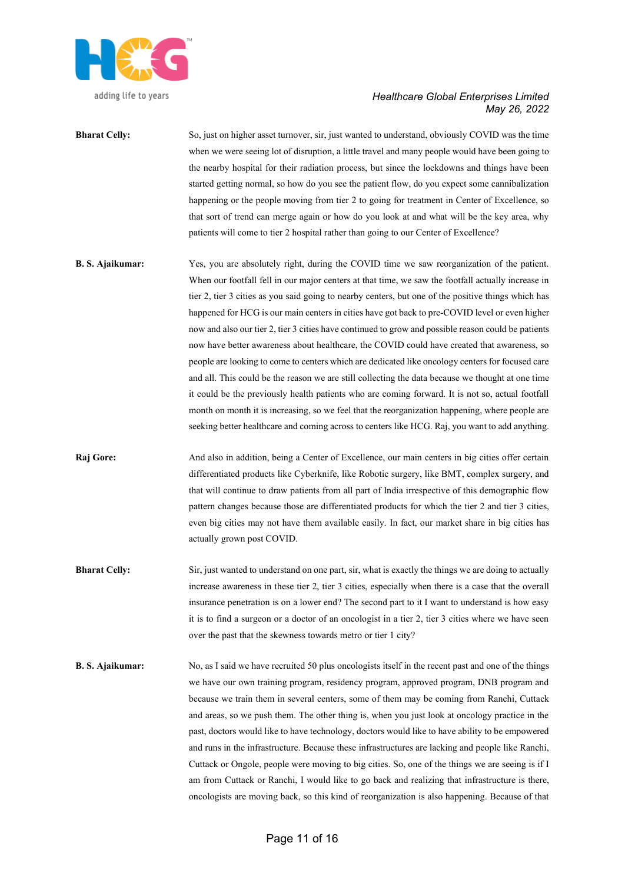

**Bharat Celly:** So, just on higher asset turnover, sir, just wanted to understand, obviously COVID was the time when we were seeing lot of disruption, a little travel and many people would have been going to the nearby hospital for their radiation process, but since the lockdowns and things have been started getting normal, so how do you see the patient flow, do you expect some cannibalization happening or the people moving from tier 2 to going for treatment in Center of Excellence, so that sort of trend can merge again or how do you look at and what will be the key area, why patients will come to tier 2 hospital rather than going to our Center of Excellence?

**B. S. Ajaikumar:** Yes, you are absolutely right, during the COVID time we saw reorganization of the patient. When our footfall fell in our major centers at that time, we saw the footfall actually increase in tier 2, tier 3 cities as you said going to nearby centers, but one of the positive things which has happened for HCG is our main centers in cities have got back to pre-COVID level or even higher now and also our tier 2, tier 3 cities have continued to grow and possible reason could be patients now have better awareness about healthcare, the COVID could have created that awareness, so people are looking to come to centers which are dedicated like oncology centers for focused care and all. This could be the reason we are still collecting the data because we thought at one time it could be the previously health patients who are coming forward. It is not so, actual footfall month on month it is increasing, so we feel that the reorganization happening, where people are seeking better healthcare and coming across to centers like HCG. Raj, you want to add anything.

**Raj Gore:** And also in addition, being a Center of Excellence, our main centers in big cities offer certain differentiated products like Cyberknife, like Robotic surgery, like BMT, complex surgery, and that will continue to draw patients from all part of India irrespective of this demographic flow pattern changes because those are differentiated products for which the tier 2 and tier 3 cities, even big cities may not have them available easily. In fact, our market share in big cities has actually grown post COVID.

- **Bharat Celly:** Sir, just wanted to understand on one part, sir, what is exactly the things we are doing to actually increase awareness in these tier 2, tier 3 cities, especially when there is a case that the overall insurance penetration is on a lower end? The second part to it I want to understand is how easy it is to find a surgeon or a doctor of an oncologist in a tier 2, tier 3 cities where we have seen over the past that the skewness towards metro or tier 1 city?
- **B. S. Ajaikumar:** No, as I said we have recruited 50 plus oncologists itself in the recent past and one of the things we have our own training program, residency program, approved program, DNB program and because we train them in several centers, some of them may be coming from Ranchi, Cuttack and areas, so we push them. The other thing is, when you just look at oncology practice in the past, doctors would like to have technology, doctors would like to have ability to be empowered and runs in the infrastructure. Because these infrastructures are lacking and people like Ranchi, Cuttack or Ongole, people were moving to big cities. So, one of the things we are seeing is if I am from Cuttack or Ranchi, I would like to go back and realizing that infrastructure is there, oncologists are moving back, so this kind of reorganization is also happening. Because of that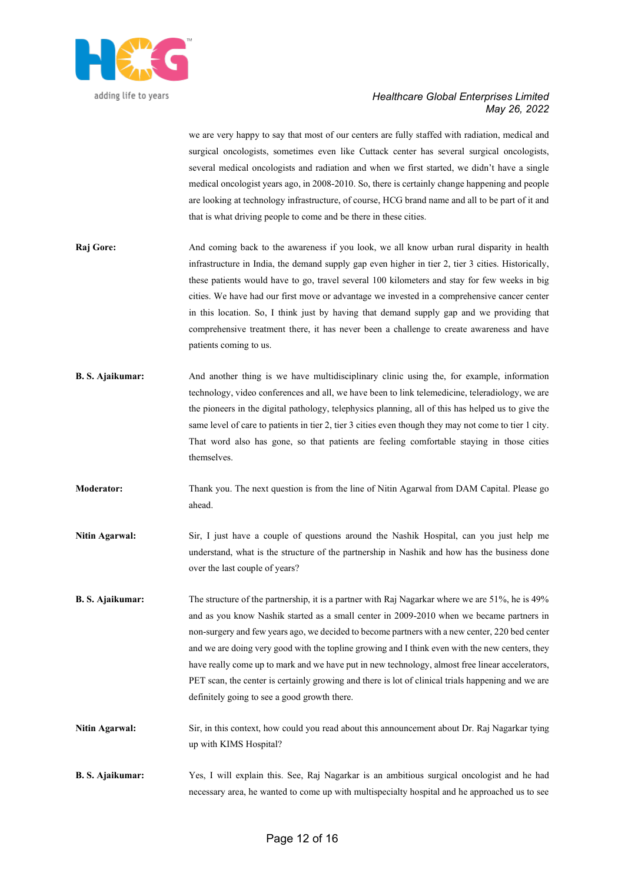

we are very happy to say that most of our centers are fully staffed with radiation, medical and surgical oncologists, sometimes even like Cuttack center has several surgical oncologists, several medical oncologists and radiation and when we first started, we didn't have a single medical oncologist years ago, in 2008-2010. So, there is certainly change happening and people are looking at technology infrastructure, of course, HCG brand name and all to be part of it and that is what driving people to come and be there in these cities.

- **Raj Gore:** And coming back to the awareness if you look, we all know urban rural disparity in health infrastructure in India, the demand supply gap even higher in tier 2, tier 3 cities. Historically, these patients would have to go, travel several 100 kilometers and stay for few weeks in big cities. We have had our first move or advantage we invested in a comprehensive cancer center in this location. So, I think just by having that demand supply gap and we providing that comprehensive treatment there, it has never been a challenge to create awareness and have patients coming to us.
- **B. S. Ajaikumar:** And another thing is we have multidisciplinary clinic using the, for example, information technology, video conferences and all, we have been to link telemedicine, teleradiology, we are the pioneers in the digital pathology, telephysics planning, all of this has helped us to give the same level of care to patients in tier 2, tier 3 cities even though they may not come to tier 1 city. That word also has gone, so that patients are feeling comfortable staying in those cities themselves.
- **Moderator:** Thank you. The next question is from the line of Nitin Agarwal from DAM Capital. Please go ahead.
- **Nitin Agarwal:** Sir, I just have a couple of questions around the Nashik Hospital, can you just help me understand, what is the structure of the partnership in Nashik and how has the business done over the last couple of years?
- **B. S. Ajaikumar:** The structure of the partnership, it is a partner with Raj Nagarkar where we are 51%, he is 49% and as you know Nashik started as a small center in 2009-2010 when we became partners in non-surgery and few years ago, we decided to become partners with a new center, 220 bed center and we are doing very good with the topline growing and I think even with the new centers, they have really come up to mark and we have put in new technology, almost free linear accelerators, PET scan, the center is certainly growing and there is lot of clinical trials happening and we are definitely going to see a good growth there.
- **Nitin Agarwal:** Sir, in this context, how could you read about this announcement about Dr. Raj Nagarkar tying up with KIMS Hospital?
- **B. S. Ajaikumar:** Yes, I will explain this. See, Raj Nagarkar is an ambitious surgical oncologist and he had necessary area, he wanted to come up with multispecialty hospital and he approached us to see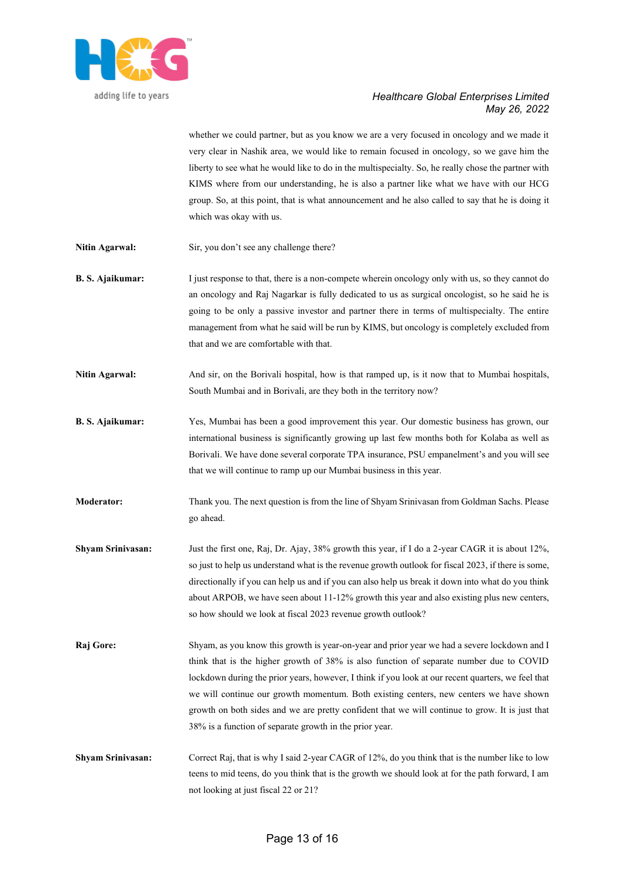

whether we could partner, but as you know we are a very focused in oncology and we made it very clear in Nashik area, we would like to remain focused in oncology, so we gave him the liberty to see what he would like to do in the multispecialty. So, he really chose the partner with KIMS where from our understanding, he is also a partner like what we have with our HCG group. So, at this point, that is what announcement and he also called to say that he is doing it which was okay with us.

- Nitin Agarwal: Sir, you don't see any challenge there?
- **B. S. Ajaikumar:** I just response to that, there is a non-compete wherein oncology only with us, so they cannot do an oncology and Raj Nagarkar is fully dedicated to us as surgical oncologist, so he said he is going to be only a passive investor and partner there in terms of multispecialty. The entire management from what he said will be run by KIMS, but oncology is completely excluded from that and we are comfortable with that.
- **Nitin Agarwal:** And sir, on the Borivali hospital, how is that ramped up, is it now that to Mumbai hospitals, South Mumbai and in Borivali, are they both in the territory now?
- **B. S. Ajaikumar:** Yes, Mumbai has been a good improvement this year. Our domestic business has grown, our international business is significantly growing up last few months both for Kolaba as well as Borivali. We have done several corporate TPA insurance, PSU empanelment's and you will see that we will continue to ramp up our Mumbai business in this year.
- **Moderator:** Thank you. The next question is from the line of Shyam Srinivasan from Goldman Sachs. Please go ahead.
- **Shyam Srinivasan:** Just the first one, Raj, Dr. Ajay, 38% growth this year, if I do a 2-year CAGR it is about 12%, so just to help us understand what is the revenue growth outlook for fiscal 2023, if there is some, directionally if you can help us and if you can also help us break it down into what do you think about ARPOB, we have seen about 11-12% growth this year and also existing plus new centers, so how should we look at fiscal 2023 revenue growth outlook?
- **Raj Gore:** Shyam, as you know this growth is year-on-year and prior year we had a severe lockdown and I think that is the higher growth of 38% is also function of separate number due to COVID lockdown during the prior years, however, I think if you look at our recent quarters, we feel that we will continue our growth momentum. Both existing centers, new centers we have shown growth on both sides and we are pretty confident that we will continue to grow. It is just that 38% is a function of separate growth in the prior year.
- **Shyam Srinivasan:** Correct Raj, that is why I said 2-year CAGR of 12%, do you think that is the number like to low teens to mid teens, do you think that is the growth we should look at for the path forward, I am not looking at just fiscal 22 or 21?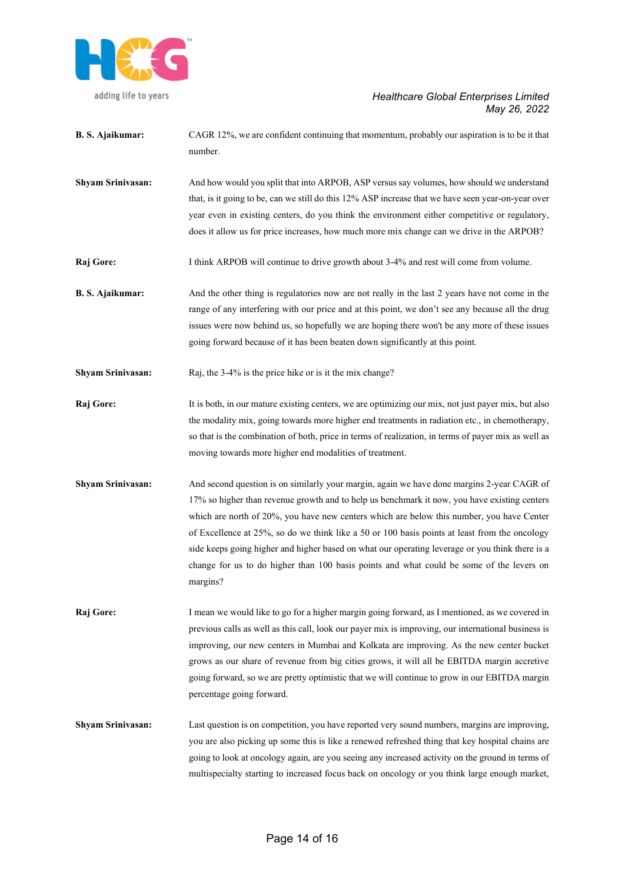

- **B. S. Ajaikumar:** CAGR 12%, we are confident continuing that momentum, probably our aspiration is to be it that number.
- **Shyam Srinivasan:** And how would you split that into ARPOB, ASP versus say volumes, how should we understand that, is it going to be, can we still do this 12% ASP increase that we have seen year-on-year over year even in existing centers, do you think the environment either competitive or regulatory, does it allow us for price increases, how much more mix change can we drive in the ARPOB?
- **Raj Gore:** I think ARPOB will continue to drive growth about 3-4% and rest will come from volume.
- **B. S. Ajaikumar:** And the other thing is regulatories now are not really in the last 2 years have not come in the range of any interfering with our price and at this point, we don't see any because all the drug issues were now behind us, so hopefully we are hoping there won't be any more of these issues going forward because of it has been beaten down significantly at this point.
- **Shyam Srinivasan:** Raj, the 3-4% is the price hike or is it the mix change?
- **Raj Gore:** It is both, in our mature existing centers, we are optimizing our mix, not just payer mix, but also the modality mix, going towards more higher end treatments in radiation etc., in chemotherapy, so that is the combination of both, price in terms of realization, in terms of payer mix as well as moving towards more higher end modalities of treatment.
- **Shyam Srinivasan:** And second question is on similarly your margin, again we have done margins 2-year CAGR of 17% so higher than revenue growth and to help us benchmark it now, you have existing centers which are north of 20%, you have new centers which are below this number, you have Center of Excellence at 25%, so do we think like a 50 or 100 basis points at least from the oncology side keeps going higher and higher based on what our operating leverage or you think there is a change for us to do higher than 100 basis points and what could be some of the levers on margins?
- **Raj Gore:** I mean we would like to go for a higher margin going forward, as I mentioned, as we covered in previous calls as well as this call, look our payer mix is improving, our international business is improving, our new centers in Mumbai and Kolkata are improving. As the new center bucket grows as our share of revenue from big cities grows, it will all be EBITDA margin accretive going forward, so we are pretty optimistic that we will continue to grow in our EBITDA margin percentage going forward.
- **Shyam Srinivasan:** Last question is on competition, you have reported very sound numbers, margins are improving, you are also picking up some this is like a renewed refreshed thing that key hospital chains are going to look at oncology again, are you seeing any increased activity on the ground in terms of multispecialty starting to increased focus back on oncology or you think large enough market,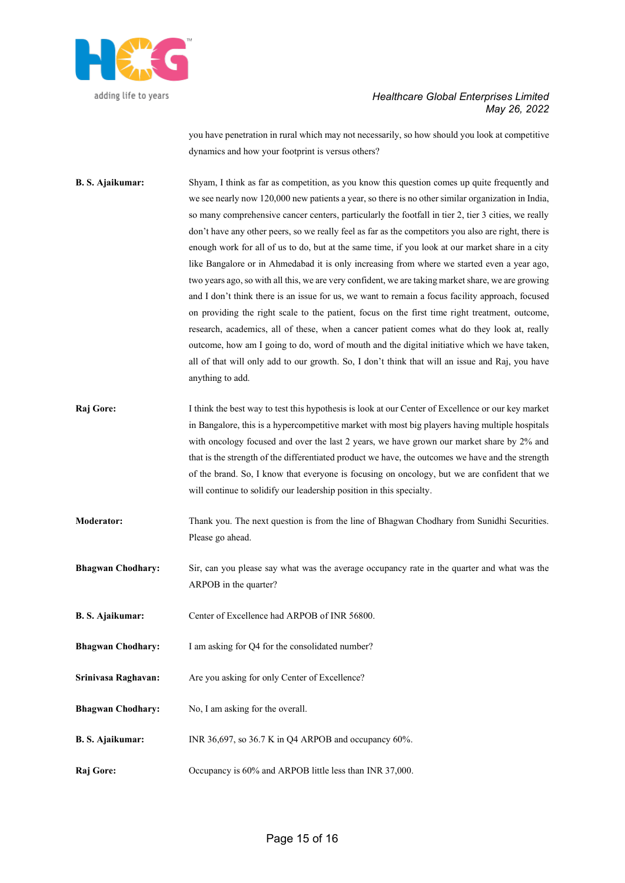

you have penetration in rural which may not necessarily, so how should you look at competitive dynamics and how your footprint is versus others?

- **B. S. Ajaikumar:** Shyam, I think as far as competition, as you know this question comes up quite frequently and we see nearly now 120,000 new patients a year, so there is no other similar organization in India, so many comprehensive cancer centers, particularly the footfall in tier 2, tier 3 cities, we really don't have any other peers, so we really feel as far as the competitors you also are right, there is enough work for all of us to do, but at the same time, if you look at our market share in a city like Bangalore or in Ahmedabad it is only increasing from where we started even a year ago, two years ago, so with all this, we are very confident, we are taking market share, we are growing and I don't think there is an issue for us, we want to remain a focus facility approach, focused on providing the right scale to the patient, focus on the first time right treatment, outcome, research, academics, all of these, when a cancer patient comes what do they look at, really outcome, how am I going to do, word of mouth and the digital initiative which we have taken, all of that will only add to our growth. So, I don't think that will an issue and Raj, you have anything to add.
- **Raj Gore:** I think the best way to test this hypothesis is look at our Center of Excellence or our key market in Bangalore, this is a hypercompetitive market with most big players having multiple hospitals with oncology focused and over the last 2 years, we have grown our market share by 2% and that is the strength of the differentiated product we have, the outcomes we have and the strength of the brand. So, I know that everyone is focusing on oncology, but we are confident that we will continue to solidify our leadership position in this specialty.
- **Moderator:** Thank you. The next question is from the line of Bhagwan Chodhary from Sunidhi Securities. Please go ahead.
- **Bhagwan Chodhary:** Sir, can you please say what was the average occupancy rate in the quarter and what was the ARPOB in the quarter?
- **B. S. Ajaikumar:** Center of Excellence had ARPOB of INR 56800.
- **Bhagwan Chodhary:** I am asking for Q4 for the consolidated number?
- Srinivasa Raghavan: Are you asking for only Center of Excellence?
- **Bhagwan Chodhary:** No, I am asking for the overall.
- **B. S. Ajaikumar:** INR 36,697, so 36.7 K in Q4 ARPOB and occupancy 60%.
- **Raj Gore:** Occupancy is 60% and ARPOB little less than INR 37,000.